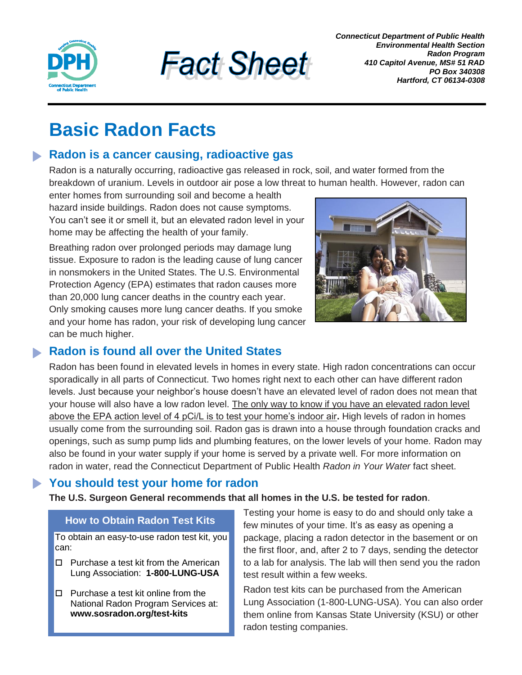



*Connecticut Department of Public Health Environmental Health Section Radon Program 410 Capitol Avenue, MS# 51 RAD PO Box 340308 Hartford, CT 06134-0308*

# **Basic Radon Facts**

## **Radon is a cancer causing, radioactive gas**

Radon is a naturally occurring, radioactive gas released in rock, soil, and water formed from the breakdown of uranium. Levels in outdoor air pose a low threat to human health. However, radon can

enter homes from surrounding soil and become a health hazard inside buildings. Radon does not cause symptoms. You can't see it or smell it, but an elevated radon level in your home may be affecting the health of your family.

Breathing radon over prolonged periods may damage lung tissue. Exposure to radon is the leading cause of lung cancer in nonsmokers in the United States. The U.S. Environmental Protection Agency (EPA) estimates that radon causes more than 20,000 lung cancer deaths in the country each year. Only smoking causes more lung cancer deaths. If you smoke and your home has radon, your risk of developing lung cancer can be much higher.



## **Radon is found all over the United States**

Radon has been found in elevated levels in homes in every state. High radon concentrations can occur sporadically in all parts of Connecticut. Two homes right next to each other can have different radon levels. Just because your neighbor's house doesn't have an elevated level of radon does not mean that your house will also have a low radon level. The only way to know if you have an elevated radon level above the EPA action level of 4 pCi/L is to test your home's indoor air**.** High levels of radon in homes usually come from the surrounding soil. Radon gas is drawn into a house through foundation cracks and openings, such as sump pump lids and plumbing features, on the lower levels of your home. Radon may also be found in your water supply if your home is served by a private well. For more information on radon in water, read the Connecticut Department of Public Health *Radon in Your Water* fact sheet.

## **You should test your home for radon**

**The U.S. Surgeon General recommends that all homes in the U.S. be tested for radon**.

#### **How to Obtain Radon Test Kits**

To obtain an easy-to-use radon test kit, you can:

- □ Purchase a test kit from the American Lung Association: **1-800-LUNG-USA**
- $\Box$  Purchase a test kit online from the National Radon Program Services at: **www.sosradon.org/test-kits**

Testing your home is easy to do and should only take a few minutes of your time. It's as easy as opening a package, placing a radon detector in the basement or on the first floor, and, after 2 to 7 days, sending the detector to a lab for analysis. The lab will then send you the radon test result within a few weeks.

Radon test kits can be purchased from the American Lung Association (1-800-LUNG-USA). You can also order them online from Kansas State University (KSU) or other radon testing companies.